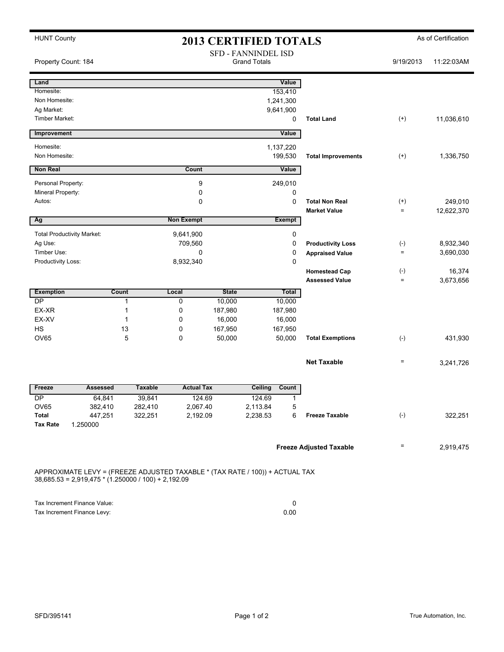| <b>HUNT County</b><br><b>2013 CERTIFIED TOTALS</b>                                                                                    |              |                |                                            |                                |          |                   | As of Certification       |                   |            |  |
|---------------------------------------------------------------------------------------------------------------------------------------|--------------|----------------|--------------------------------------------|--------------------------------|----------|-------------------|---------------------------|-------------------|------------|--|
| Property Count: 184                                                                                                                   |              |                | SFD - FANNINDEL ISD<br><b>Grand Totals</b> |                                |          |                   | 9/19/2013                 | 11:22:03AM        |            |  |
| Land                                                                                                                                  |              |                |                                            |                                |          | Value             |                           |                   |            |  |
| Homesite:                                                                                                                             |              |                |                                            |                                |          | 153,410           |                           |                   |            |  |
| Non Homesite:                                                                                                                         |              |                |                                            |                                |          | 1,241,300         |                           |                   |            |  |
| Ag Market:<br>Timber Market:                                                                                                          |              |                |                                            |                                |          | 9,641,900<br>0    | <b>Total Land</b>         | $^{(+)}$          | 11,036,610 |  |
|                                                                                                                                       |              |                |                                            |                                |          |                   |                           |                   |            |  |
| Improvement                                                                                                                           |              |                |                                            |                                |          | Value             |                           |                   |            |  |
| Homesite:                                                                                                                             |              |                |                                            |                                |          | 1,137,220         |                           |                   |            |  |
| Non Homesite:                                                                                                                         |              |                |                                            |                                |          | 199,530           | <b>Total Improvements</b> | $^{(+)}$          | 1,336,750  |  |
| <b>Non Real</b>                                                                                                                       |              |                | Count                                      |                                |          | Value             |                           |                   |            |  |
| Personal Property:                                                                                                                    |              |                | 9                                          |                                |          | 249,010           |                           |                   |            |  |
| Mineral Property:                                                                                                                     |              |                | 0                                          |                                |          | 0                 |                           |                   |            |  |
| Autos:                                                                                                                                |              |                | $\Omega$                                   |                                |          | 0                 | <b>Total Non Real</b>     | $^{(+)}$          | 249,010    |  |
|                                                                                                                                       |              |                |                                            |                                |          |                   | <b>Market Value</b>       | $=$               | 12,622,370 |  |
| Ag                                                                                                                                    |              |                | <b>Non Exempt</b>                          |                                |          | <b>Exempt</b>     |                           |                   |            |  |
| <b>Total Productivity Market:</b>                                                                                                     |              |                | 9,641,900                                  |                                |          | 0                 |                           |                   |            |  |
| Ag Use:                                                                                                                               |              |                | 709,560                                    |                                |          | 0                 | <b>Productivity Loss</b>  | $(\text{-})$      | 8,932,340  |  |
| Timber Use:                                                                                                                           |              |                | 0                                          |                                |          | 0                 | <b>Appraised Value</b>    | $\qquad \qquad =$ | 3,690,030  |  |
| Productivity Loss:                                                                                                                    |              |                | 8,932,340                                  |                                |          | 0                 |                           |                   |            |  |
|                                                                                                                                       |              |                |                                            |                                |          |                   | <b>Homestead Cap</b>      | $(-)$             | 16,374     |  |
|                                                                                                                                       |              |                |                                            |                                |          |                   | <b>Assessed Value</b>     | $\qquad \qquad =$ | 3,673,656  |  |
| <b>Exemption</b>                                                                                                                      | <b>Count</b> |                | Local                                      | <b>State</b>                   |          | Total             |                           |                   |            |  |
| $\overline{DP}$                                                                                                                       |              | 1              | 0                                          | 10,000                         |          | 10,000            |                           |                   |            |  |
| EX-XR                                                                                                                                 |              | 1              | 0                                          | 187,980                        |          | 187,980           |                           |                   |            |  |
| EX-XV<br><b>HS</b>                                                                                                                    |              | 1<br>13        | 0<br>0                                     | 16,000<br>167,950              |          | 16,000<br>167,950 |                           |                   |            |  |
| OV65                                                                                                                                  |              | 5              | 0                                          | 50,000                         |          | 50,000            | <b>Total Exemptions</b>   | $(-)$             | 431,930    |  |
|                                                                                                                                       |              |                |                                            |                                |          |                   |                           |                   |            |  |
|                                                                                                                                       |              |                |                                            |                                |          |                   | <b>Net Taxable</b>        | $\qquad \qquad =$ | 3,241,726  |  |
| Freeze                                                                                                                                | Assessed     | <b>Taxable</b> | <b>Actual Tax</b>                          |                                | Ceiling  | Count             |                           |                   |            |  |
| DP.                                                                                                                                   | 64,841       | 39,841         | 124.69                                     |                                | 124.69   | 1                 |                           |                   |            |  |
| OV65                                                                                                                                  | 382,410      | 282,410        | 2,067.40                                   |                                | 2,113.84 | 5                 |                           |                   |            |  |
| Total                                                                                                                                 | 447,251      | 322,251        | 2,192.09                                   |                                | 2,238.53 | 6                 | <b>Freeze Taxable</b>     | $(-)$             | 322,251    |  |
| <b>Tax Rate</b>                                                                                                                       | 1.250000     |                |                                            |                                |          |                   |                           |                   |            |  |
|                                                                                                                                       |              |                |                                            | <b>Freeze Adjusted Taxable</b> |          |                   |                           |                   |            |  |
|                                                                                                                                       |              |                |                                            |                                |          | $=$               | 2,919,475                 |                   |            |  |
| APPROXIMATE LEVY = (FREEZE ADJUSTED TAXABLE * (TAX RATE / 100)) + ACTUAL TAX<br>$38,685.53 = 2,919,475 * (1.250000 / 100) + 2,192.09$ |              |                |                                            |                                |          |                   |                           |                   |            |  |

Tax Increment Finance Value: 0<br>
Tax Increment Finance Levy: 0.00 Tax Increment Finance Levy: